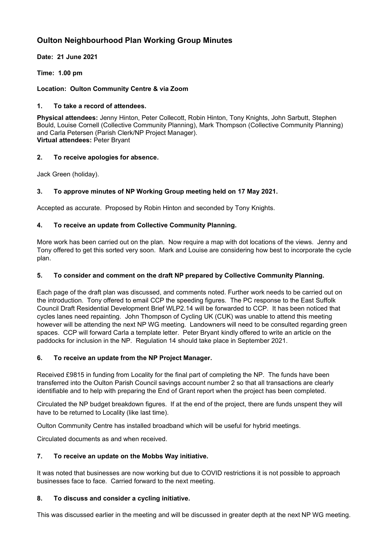# **Oulton Neighbourhood Plan Working Group Minutes**

**Date: 21 June 2021**

**Time: 1.00 pm**

#### **Location: Oulton Community Centre & via Zoom**

#### **1. To take a record of attendees.**

**Physical attendees:** Jenny Hinton, Peter Collecott, Robin Hinton, Tony Knights, John Sarbutt, Stephen Bould, Louise Cornell (Collective Community Planning), Mark Thompson (Collective Community Planning) and Carla Petersen (Parish Clerk/NP Project Manager). **Virtual attendees:** Peter Bryant

### **2. To receive apologies for absence.**

Jack Green (holiday).

# **3. To approve minutes of NP Working Group meeting held on 17 May 2021.**

Accepted as accurate. Proposed by Robin Hinton and seconded by Tony Knights.

### **4. To receive an update from Collective Community Planning.**

More work has been carried out on the plan. Now require a map with dot locations of the views. Jenny and Tony offered to get this sorted very soon. Mark and Louise are considering how best to incorporate the cycle plan.

#### **5. To consider and comment on the draft NP prepared by Collective Community Planning.**

Each page of the draft plan was discussed, and comments noted. Further work needs to be carried out on the introduction. Tony offered to email CCP the speeding figures. The PC response to the East Suffolk Council Draft Residential Development Brief WLP2.14 will be forwarded to CCP. It has been noticed that cycles lanes need repainting. John Thompson of Cycling UK (CUK) was unable to attend this meeting however will be attending the next NP WG meeting. Landowners will need to be consulted regarding green spaces. CCP will forward Carla a template letter. Peter Bryant kindly offered to write an article on the paddocks for inclusion in the NP. Regulation 14 should take place in September 2021.

#### **6. To receive an update from the NP Project Manager.**

Received £9815 in funding from Locality for the final part of completing the NP. The funds have been transferred into the Oulton Parish Council savings account number 2 so that all transactions are clearly identifiable and to help with preparing the End of Grant report when the project has been completed.

Circulated the NP budget breakdown figures. If at the end of the project, there are funds unspent they will have to be returned to Locality (like last time).

Oulton Community Centre has installed broadband which will be useful for hybrid meetings.

Circulated documents as and when received.

#### **7. To receive an update on the Mobbs Way initiative.**

It was noted that businesses are now working but due to COVID restrictions it is not possible to approach businesses face to face. Carried forward to the next meeting.

#### **8. To discuss and consider a cycling initiative.**

This was discussed earlier in the meeting and will be discussed in greater depth at the next NP WG meeting.